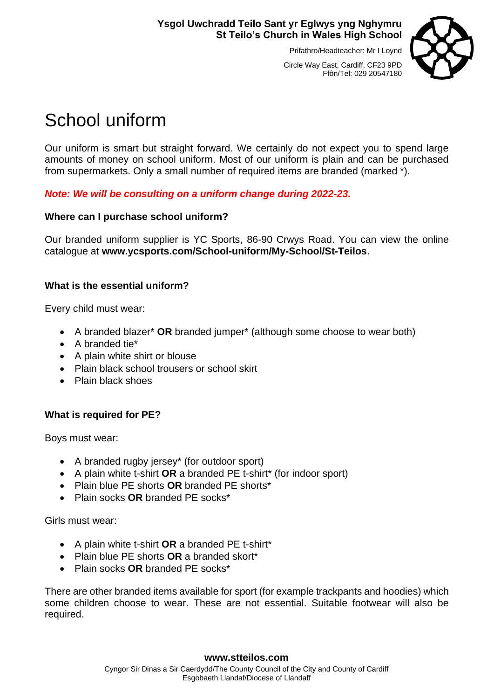# **Ysgol Uwchradd Teilo Sant yr Eglwys yng Nghymru St Teilo's Church in Wales High School**

Prifathro/Headteacher: Mr I Loynd



Circle Way East, Cardiff, CF23 9PD Ffôn/Tel: 029 20547180

# School uniform

Our uniform is smart but straight forward. We certainly do not expect you to spend large amounts of money on school uniform. Most of our uniform is plain and can be purchased from supermarkets. Only a small number of required items are branded (marked \*).

*Note: We will be consulting on a uniform change during 2022-23.*

# **Where can I purchase school uniform?**

Our branded uniform supplier is YC Sports, 86-90 Crwys Road. You can view the online catalogue at **www.ycsports.com/School-uniform/My-School/St-Teilos**.

#### **What is the essential uniform?**

Every child must wear:

- A branded blazer\* **OR** branded jumper\* (although some choose to wear both)
- A branded tie\*
- A plain white shirt or blouse
- Plain black school trousers or school skirt
- Plain black shoes

# **What is required for PE?**

Boys must wear:

- A branded rugby jersey\* (for outdoor sport)
- A plain white t-shirt **OR** a branded PE t-shirt\* (for indoor sport)
- Plain blue PE shorts **OR** branded PE shorts\*
- Plain socks **OR** branded PE socks\*

Girls must wear:

- A plain white t-shirt **OR** a branded PE t-shirt\*
- Plain blue PE shorts **OR** a branded skort\*
- Plain socks **OR** branded PE socks\*

There are other branded items available for sport (for example trackpants and hoodies) which some children choose to wear. These are not essential. Suitable footwear will also be required.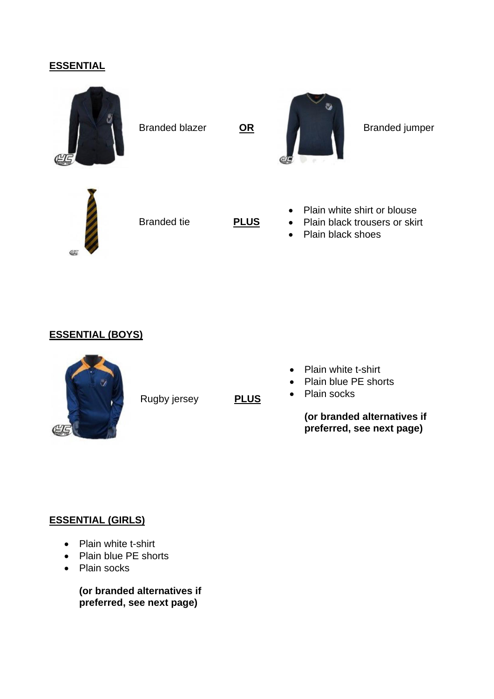#### **ESSENTIAL**







Branded tie **PLUS**

- Plain white shirt or blouse
- Plain black trousers or skirt
- Plain black shoes

#### **ESSENTIAL (BOYS)**



Rugby jersey **PLUS**

- Plain white t-shirt
- Plain blue PE shorts
- Plain socks

**(or branded alternatives if preferred, see next page)**

#### **ESSENTIAL (GIRLS)**

- Plain white t-shirt
- Plain blue PE shorts
- Plain socks

**(or branded alternatives if preferred, see next page)**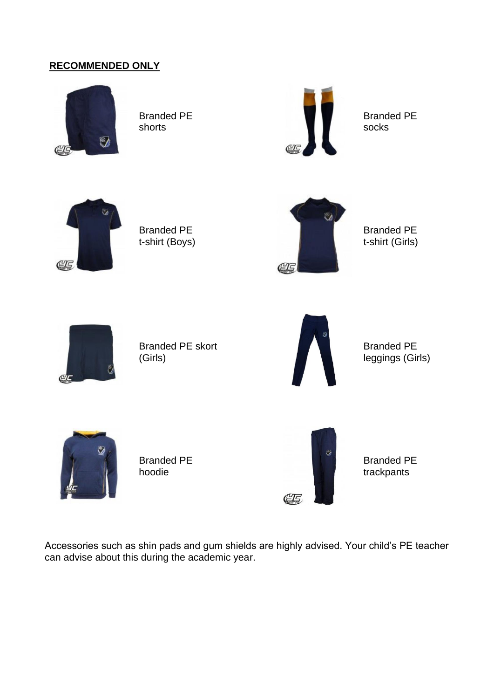# **RECOMMENDED ONLY**



Branded PE shorts



Branded PE socks



Branded PE t-shirt (Boys)



Branded PE t-shirt (Girls)



Branded PE skort (Girls)



Branded PE leggings (Girls)



Branded PE hoodie



Branded PE trackpants

Accessories such as shin pads and gum shields are highly advised. Your child's PE teacher can advise about this during the academic year.